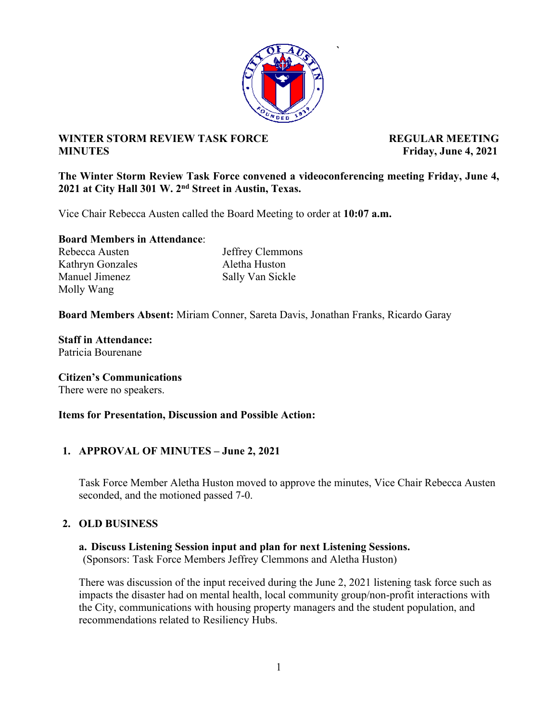

**`** 

## **WINTER STORM REVIEW TASK FORCE ALL PROPERTY REGULAR MEETING MINUTES** Friday, June 4, 2021

### **The Winter Storm Review Task Force convened a videoconferencing meeting Friday, June 4, 2021 at City Hall 301 W. 2nd Street in Austin, Texas.**

Vice Chair Rebecca Austen called the Board Meeting to order at **10:07 a.m.** 

#### **Board Members in Attendance**:

Kathryn Gonzales Aletha Huston Manuel Jimenez Sally Van Sickle Molly Wang

Rebecca Austen Jeffrey Clemmons

**Board Members Absent:** Miriam Conner, Sareta Davis, Jonathan Franks, Ricardo Garay

# **Staff in Attendance:**

Patricia Bourenane

#### **Citizen's Communications**

There were no speakers.

#### **Items for Presentation, Discussion and Possible Action:**

## **1. APPROVAL OF MINUTES – June 2, 2021**

Task Force Member Aletha Huston moved to approve the minutes, Vice Chair Rebecca Austen seconded, and the motioned passed 7-0.

## **2. OLD BUSINESS**

#### **a. Discuss Listening Session input and plan for next Listening Sessions.**

(Sponsors: Task Force Members Jeffrey Clemmons and Aletha Huston)

There was discussion of the input received during the June 2, 2021 listening task force such as impacts the disaster had on mental health, local community group/non-profit interactions with the City, communications with housing property managers and the student population, and recommendations related to Resiliency Hubs.